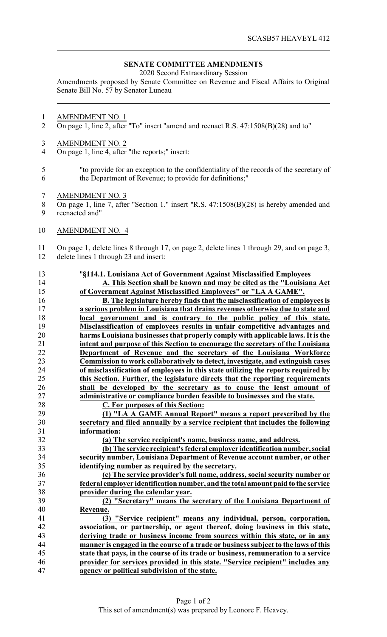## **SENATE COMMITTEE AMENDMENTS**

2020 Second Extraordinary Session

Amendments proposed by Senate Committee on Revenue and Fiscal Affairs to Original Senate Bill No. 57 by Senator Luneau

- AMENDMENT NO. 1
- On page 1, line 2, after "To" insert "amend and reenact R.S. 47:1508(B)(28) and to"
- AMENDMENT NO. 2
- On page 1, line 4, after "the reports;" insert:
- "to provide for an exception to the confidentiality of the records of the secretary of the Department of Revenue; to provide for definitions;"
- AMENDMENT NO. 3
- On page 1, line 7, after "Section 1." insert "R.S. 47:1508(B)(28) is hereby amended and reenacted and"
- AMENDMENT NO. 4

On page 1, delete lines 8 through 17, on page 2, delete lines 1 through 29, and on page 3,

delete lines 1 through 23 and insert:

 "**§114.1. Louisiana Act of Government Against Misclassified Employees A. This Section shall be known and may be cited as the "Louisiana Act of Government Against Misclassified Employees" or "LA A GAME". B. The legislature hereby finds that the misclassification of employees is a serious problem in Louisiana that drains revenues otherwise due to state and local government and is contrary to the public policy of this state. Misclassification of employees results in unfair competitive advantages and harms Louisiana businesses that properly comply with applicable laws. It is the intent and purpose of this Section to encourage the secretary of the Louisiana Department of Revenue and the secretary of the Louisiana Workforce Commission to work collaboratively to detect, investigate, and extinguish cases of misclassification of employees in this state utilizing the reports required by this Section. Further, the legislature directs that the reporting requirements shall be developed by the secretary as to cause the least amount of administrative or compliance burden feasible to businesses and the state. C. For purposes of this Section: (1) "LA A GAME Annual Report" means a report prescribed by the secretary and filed annually by a service recipient that includes the following information: (a) The service recipient's name, business name, and address.**

 **(b) The service recipient's federal employer identification number, social security number, Louisiana Department of Revenue account number, or other identifying number as required by the secretary.**

 **(c) The service provider's full name, address, social security number or federal employer identification number, and the total amount paid to the service provider during the calendar year.**

 **(2) "Secretary" means the secretary of the Louisiana Department of Revenue.**

 **(3) "Service recipient" means any individual, person, corporation, association, or partnership, or agent thereof, doing business in this state, deriving trade or business income from sources within this state, or in any manner is engaged in the course of a trade or business subject to the laws of this state that pays, in the course of its trade or business, remuneration to a service provider for services provided in this state. "Service recipient" includes any agency or political subdivision of the state.**